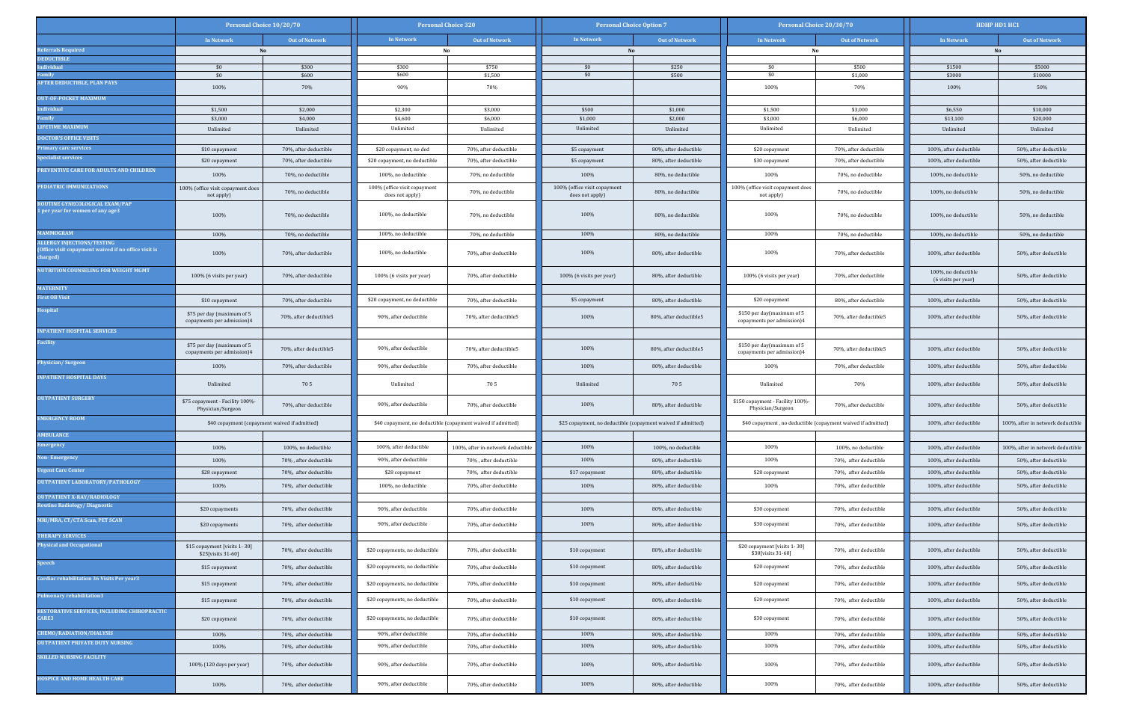|                                                                                                    | Personal Choice 10/20/70                                 |                                                | <b>Personal Choice 320</b>                                   |                                                | <b>Personal Choice Option 7</b>                              |                                                | Personal Choice 20/30/70                                     |                                                | HDHP HD1 HC1                                     |                                                |  |
|----------------------------------------------------------------------------------------------------|----------------------------------------------------------|------------------------------------------------|--------------------------------------------------------------|------------------------------------------------|--------------------------------------------------------------|------------------------------------------------|--------------------------------------------------------------|------------------------------------------------|--------------------------------------------------|------------------------------------------------|--|
|                                                                                                    | In Network                                               | <b>Out of Network</b>                          | In Network                                                   | <b>Out of Network</b>                          | In Network                                                   | <b>Out of Network</b>                          | In Network                                                   | <b>Out of Network</b>                          | In Network                                       | <b>Out of Network</b>                          |  |
| eferrals Required                                                                                  |                                                          | No                                             |                                                              | No                                             |                                                              | No                                             |                                                              | No                                             |                                                  | No                                             |  |
| <b>EDUCTIBLE</b><br>ndividual                                                                      | \$0                                                      | \$300                                          | \$300                                                        | \$750                                          | \$0                                                          | \$250                                          | \$0                                                          | \$500                                          | \$1500                                           | \$5000                                         |  |
| amily                                                                                              | \$0                                                      | \$600                                          | \$600                                                        | \$1,500                                        | \$0                                                          | \$500                                          | \$0                                                          | \$1,000                                        | \$3000                                           | \$10000                                        |  |
| <b>IFTER DEDUCTIBLE, PLAN PAYS</b>                                                                 | 100%                                                     | 70%                                            | 90%                                                          | 70%                                            |                                                              |                                                | 100%                                                         | 70%                                            | 100%                                             | 50%                                            |  |
| <b>UT-OF-POCKET MAXIMUM</b>                                                                        |                                                          |                                                |                                                              |                                                |                                                              |                                                |                                                              |                                                |                                                  |                                                |  |
| dividual<br>amily                                                                                  | \$1,500<br>\$3,000                                       | \$2,000<br>\$4,000                             | \$2,300<br>\$4,600                                           | \$3,000<br>\$6,000                             | \$500<br>\$1,000                                             | \$1,000<br>\$2,000                             | \$1,500<br>\$3,000                                           | \$3,000<br>\$6,000                             | \$6,550<br>\$13,100                              | \$10,000<br>\$20,000                           |  |
| <b>IFETIME MAXIMUM</b>                                                                             | Unlimited                                                | Unlimited                                      | Unlimited                                                    | Unlimited                                      | Unlimited                                                    | Unlimited                                      | Unlimited                                                    | Unlimited                                      | Unlimited                                        | Unlimited                                      |  |
| <b>OCTOR'S OFFICE VISITS</b>                                                                       |                                                          |                                                |                                                              |                                                |                                                              |                                                |                                                              |                                                |                                                  |                                                |  |
| rimary care services                                                                               | \$10 copayment                                           | 70%, after deductible                          | \$20 copayment, no ded                                       | 70%, after deductible                          | \$5 copayment                                                | 80%, after deductible                          | \$20 copayment                                               | 70%, after deductible                          | 100%, after deductible                           | 50%, after deductible                          |  |
| pecialist services                                                                                 | \$20 copayment                                           | 70%, after deductible                          | \$20 copayment, no deductible                                | 70%, after deductible                          | \$5 copayment                                                | 80%, after deductible                          | \$30 copayment                                               | 70%, after deductible                          | 100%, after deductible                           | 50%, after deductible                          |  |
| <b>REVENTIVE CARE FOR ADULTS AND CHILDREN</b>                                                      | 100%                                                     | 70%, no deductible                             | 100%, no deductible                                          | 70%, no deductible                             | 100%                                                         | 80%, no deductible                             | 100%                                                         | 70%, no deductible                             | 100%, no deductible                              | 50%, no deductible                             |  |
| <b>EDIATRIC IMMUNIZATIONS</b>                                                                      | 100% (office visit copayment does<br>not apply)          | 70%, no deductible                             | 100% (office visit copayment<br>does not apply)              | 70%, no deductible                             | 100% (office visit copayment<br>does not apply)              | 80%, no deductible                             | 100% (office visit copayment does<br>not apply)              | 70%, no deductible                             | 100%, no deductible                              | 50%, no deductible                             |  |
| <b>ROUTINE GYNECOLOGICAL EXAM/PAP</b><br>per year for women of any age3                            | 100%                                                     | 70%, no deductible                             | 100%, no deductible                                          | 70%, no deductible                             | 100%                                                         | 80%, no deductible                             | 100%                                                         | 70%, no deductible                             | 100%, no deductible                              | 50%, no deductible                             |  |
| <b>IAMMOGRAM</b>                                                                                   | 100%                                                     | 70%, no deductible                             | 100%, no deductible                                          | 70%, no deductible                             | 100%                                                         | 80%, no deductible                             | 100%                                                         | 70%, no deductible                             | 100%, no deductible                              | 50%, no deductible                             |  |
| <b>LLERGY INJECTIONS/TESTING</b><br>Office visit copayment waived if no office visit is<br>harged) | 100%                                                     | 70%, after deductible                          | 100%, no deductible                                          | 70%, after deductible                          | 100%                                                         | 80%, after deductible                          | 100%                                                         | 70%, after deductible                          | 100%, after deductible                           | 50%, after deductible                          |  |
| UTRITION COUNSELING FOR WEIGHT MGMT                                                                | 100% (6 visits per year)                                 | 70%, after deductible                          | 100% (6 visits per year)                                     | 70%, after deductible                          | 100% (6 visits per year)                                     | 80%, after deductible                          | 100% (6 visits per year)                                     | 70%, after deductible                          | 100%, no deductible<br>(6 visits per year)       | 50%, after deductible                          |  |
| <b>IATERNITY</b>                                                                                   |                                                          |                                                |                                                              |                                                |                                                              |                                                |                                                              |                                                |                                                  |                                                |  |
| irst OB Visit                                                                                      | \$10 copayment                                           | 70%, after deductible                          | \$20 copayment, no deductible                                | 70%, after deductible                          | \$5 copayment                                                | 80%, after deductible                          | \$20 copayment                                               | 80%, after deductible                          | 100%, after deductible                           | 50%, after deductible                          |  |
| ospital                                                                                            | \$75 per day (maximum of 5<br>copayments per admission)4 | 70%, after deductible5                         | 90%, after deductible                                        | 70%, after deductible5                         | 100%                                                         | 80%, after deductible5                         | \$150 per day(maximum of 5<br>copayments per admission)4     | 70%, after deductible5                         | 100%, after deductible                           | 50%, after deductible                          |  |
| <b>NPATIENT HOSPITAL SERVICES</b>                                                                  |                                                          |                                                |                                                              |                                                |                                                              |                                                |                                                              |                                                |                                                  |                                                |  |
| acility                                                                                            | \$75 per day (maximum of 5<br>copayments per admission)4 | 70%, after deductible5                         | 90%, after deductible                                        | 70%, after deductible5                         | 100%                                                         | 80%, after deductible5                         | \$150 per day(maximum of 5<br>copayments per admission)4     | 70%, after deductible5                         | 100%, after deductible                           | 50%, after deductible                          |  |
| hysician/Surgeon                                                                                   | 100%                                                     | 70%, after deductible                          | 90%, after deductible                                        | 70%, after deductible                          | 100%                                                         | 80%, after deductible                          | 100%                                                         | 70%, after deductible                          | 100%, after deductible                           | 50%, after deductible                          |  |
| <b>NPATIENT HOSPITAL DAYS</b>                                                                      | Unlimited                                                | 705                                            | Unlimited                                                    | 705                                            | Unlimited                                                    | 705                                            | Unlimited                                                    | 70%                                            | 100%, after deductible                           | 50%, after deductible                          |  |
| <b>DUTPATIENT SURGERY</b>                                                                          | \$75 copayment - Facility 100%-<br>Physician/Surgeon     | 70%, after deductible                          | 90%, after deductible                                        | 70%, after deductible                          | 100%                                                         | 80%, after deductible                          | \$150 copayment - Facility 100%-<br>Physician/Surgeon        | 70%, after deductible                          | 100%, after deductible                           | 50%, after deductible                          |  |
| <b>MERGENCY ROOM</b>                                                                               | \$40 copayment (copayment waived if admitted)            |                                                | \$40 copayment, no deductible (copayment waived if admitted) |                                                | \$25 copayment, no deductible (copayment waived if admitted) |                                                | \$40 copayment, no deductible (copayment waived if admitted) |                                                | 100%, after deductible                           | 100%, after in network deductible              |  |
| <b>MBULANCE</b>                                                                                    |                                                          |                                                |                                                              |                                                |                                                              |                                                |                                                              |                                                |                                                  |                                                |  |
| mergency                                                                                           | 100%                                                     | 100%, no deductible                            | 100%, after deductible                                       | 100%, after in-network deductible              | 100%                                                         | 100%, no deductible                            | 100%                                                         | 100%, no deductible                            | 100%, after deductible                           | 100%, after in network deductible              |  |
| <b>Ion-Emergency</b>                                                                               | 100%                                                     | 70%, after deductible                          | 90%, after deductible                                        | 70%, after deductible                          | 100%                                                         | 80%, after deductible                          | 100%                                                         | 70%, after deductible                          | 100%, after deductible                           | 50%, after deductible                          |  |
| <b>Jrgent Care Center</b>                                                                          | \$28 copayment                                           | 70%, after deductible                          | \$28 copayment                                               | 70%, after deductible                          | \$17 copayment                                               | 80%, after deductible                          | \$28 copayment                                               | 70%, after deductible                          | 100%, after deductible                           | 50%, after deductible                          |  |
| <b>DUTPATIENT LABORATORY/PATHOLOGY</b>                                                             | 100%                                                     | 70%, after deductible                          | 100%, no deductible                                          | 70%, after deductible                          | 100%                                                         | 80%, after deductible                          | 100%                                                         | 70%, after deductible                          | 100%, after deductible                           | 50%, after deductible                          |  |
| <b>DUTPATIENT X-RAY/RADIOLOGY</b><br><b>Routine Radiology/ Diagnostic</b>                          |                                                          |                                                | 90%, after deductible                                        |                                                | 100%                                                         |                                                |                                                              |                                                |                                                  |                                                |  |
| MRI/MRA, CT/CTA Scan, PET SCAN                                                                     | \$20 copayments<br>\$20 copayments                       | 70%, after deductible<br>70%, after deductible | 90%, after deductible                                        | 70%, after deductible<br>70%, after deductible | 100%                                                         | 80%, after deductible<br>80%, after deductible | \$30 copayment<br>\$30 copayment                             | 70%, after deductible<br>70%, after deductible | 100%, after deductible<br>100%, after deductible | 50%, after deductible<br>50%, after deductible |  |
| <b>THERAPY SERVICES</b>                                                                            |                                                          |                                                |                                                              |                                                |                                                              |                                                |                                                              |                                                |                                                  |                                                |  |
| <b>Physical and Occupational</b>                                                                   | \$15 copayment [visits 1-30]<br>\$25[visits 31-60]       | 70%, after deductible                          | \$20 copayments, no deductible                               | 70%, after deductible                          | \$10 copayment                                               | 80%, after deductible                          | \$20 copayment [visits 1-30]<br>\$30[visits 31-60]           | 70%, after deductible                          | 100%, after deductible                           | 50%, after deductible                          |  |
| peech                                                                                              | \$15 copayment                                           | 70%, after deductible                          | \$20 copayments, no deductible                               | 70%, after deductible                          | \$10 copayment                                               | 80%, after deductible                          | \$20 copayment                                               | 70%, after deductible                          | 100%, after deductible                           | 50%, after deductible                          |  |
| Cardiac rehabilitation 36 Visits Per year3                                                         | \$15 copayment                                           | 70%, after deductible                          | \$20 copayments, no deductible                               | 70%, after deductible                          | \$10 copayment                                               | 80%, after deductible                          | \$20 copayment                                               | 70%, after deductible                          | 100%, after deductible                           | 50%, after deductible                          |  |
| Pulmonary rehabilitation3<br>RESTORATIVE SERVICES, INCLUDING CHIROPRACTIC                          | \$15 copayment                                           | 70%, after deductible                          | \$20 copayments, no deductible                               | 70%, after deductible                          | \$10 copayment                                               | 80%, after deductible                          | \$20 copayment                                               | 70%, after deductible                          | 100%, after deductible                           | 50%, after deductible                          |  |
| <b>ARE3</b>                                                                                        | \$20 copayment                                           | 70%, after deductible                          | \$20 copayments, no deductible                               | 70%, after deductible                          | \$10 copayment                                               | 80%, after deductible                          | \$30 copayment                                               | 70%, after deductible                          | 100%, after deductible                           | 50%, after deductible                          |  |
| CHEMO/RADIATION/DIALYSIS<br><b>UTPATIENT PRIVATE DUTY NURSING</b>                                  | 100%                                                     | 70%, after deductible                          | 90%, after deductible                                        | 70%, after deductible                          | 100%                                                         | 80%, after deductible                          | 100%                                                         | 70%, after deductible                          | 100%, after deductible                           | 50%, after deductible                          |  |
|                                                                                                    | 100%                                                     | 70%, after deductible                          | 90%, after deductible                                        | 70%, after deductible                          | 100%                                                         | 80%, after deductible                          | 100%                                                         | 70%, after deductible                          | 100%, after deductible                           | 50%, after deductible                          |  |
| <b>SKILLED NURSING FACILITY</b>                                                                    | 100% (120 days per year)                                 | 70%, after deductible                          | 90%, after deductible                                        | 70%, after deductible                          | 100%                                                         | 80%, after deductible                          | 100%                                                         | 70%, after deductible                          | 100%, after deductible                           | 50%, after deductible                          |  |
| <b>IOSPICE AND HOME HEALTH CARE</b>                                                                | 100%                                                     | 70%, after deductible                          | 90%, after deductible                                        | 70%, after deductible                          | 100%                                                         | 80%, after deductible                          | 100%                                                         | 70%, after deductible                          | 100%, after deductible                           | 50%, after deductible                          |  |